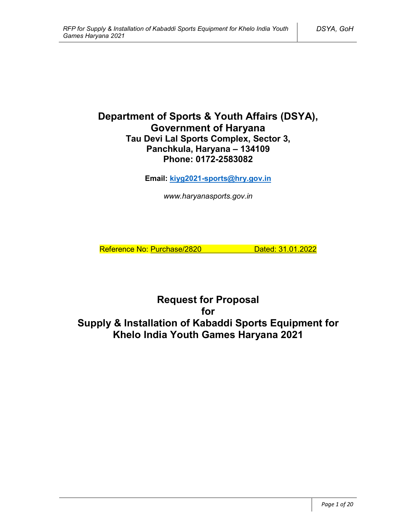# **Department of Sports & Youth Affairs (DSYA), Government of Haryana Tau Devi Lal Sports Complex, Sector 3, Panchkula, Haryana – 134109 Phone: 0172-2583082**

**Email: kiyg2021-sports@hry.gov.in**

*www.haryanasports.gov.in*

Reference No: Purchase/2820 Dated: 31.01.2022

**Request for Proposal for Supply & Installation of Kabaddi Sports Equipment for Khelo India Youth Games Haryana 2021**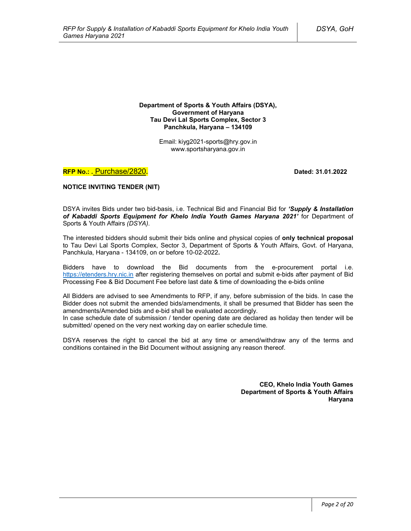**Department of Sports & Youth Affairs (DSYA), Government of Haryana Tau Devi Lal Sports Complex, Sector 3 Panchkula, Haryana – 134109**

> Email: kiyg2021-sports@hry.gov.in www.sportsharyana.gov.in

**RFP No.: .** Purchase/2820**. Dated: 31.01.2022**

**NOTICE INVITING TENDER (NIT)**

DSYA invites Bids under two bid-basis, i.e. Technical Bid and Financial Bid for *'Supply & Installation of Kabaddi Sports Equipment for Khelo India Youth Games Haryana 2021'* for Department of Sports & Youth Affairs *(DSYA)*.

The interested bidders should submit their bids online and physical copies of **only technical proposal** to Tau Devi Lal Sports Complex, Sector 3, Department of Sports & Youth Affairs, Govt. of Haryana, Panchkula, Haryana - 134109, on or before 10-02-2022**.**

Bidders have to download the Bid documents from the e-procurement portal i.e. https://etenders.hry.nic.in after registering themselves on portal and submit e-bids after payment of Bid Processing Fee & Bid Document Fee before last date & time of downloading the e-bids online

All Bidders are advised to see Amendments to RFP, if any, before submission of the bids. In case the Bidder does not submit the amended bids/amendments, it shall be presumed that Bidder has seen the amendments/Amended bids and e-bid shall be evaluated accordingly.

In case schedule date of submission / tender opening date are declared as holiday then tender will be submitted/ opened on the very next working day on earlier schedule time.

DSYA reserves the right to cancel the bid at any time or amend/withdraw any of the terms and conditions contained in the Bid Document without assigning any reason thereof.

> **CEO, Khelo India Youth Games Department of Sports & Youth Affairs Haryana**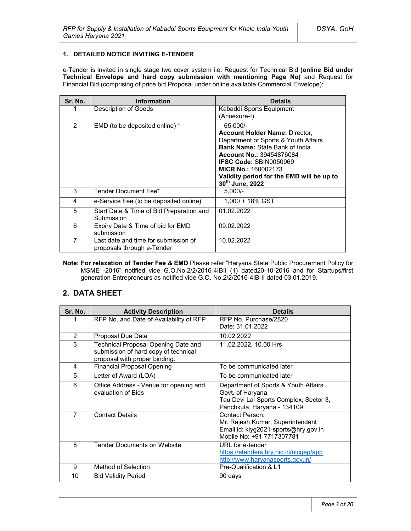#### **1. DETAILED NOTICE INVITING E-TENDER**

e-Tender is invited in single stage two cover system i.e. Request for Technical Bid **(online Bid under Technical Envelope and hard copy submission with mentioning Page No)** and Request for Financial Bid (comprising of price bid Proposal under online available Commercial Envelope):

| Sr. No.        | <b>Information</b>                                                 | <b>Details</b>                                                                                                                                                                                                                                                                                                   |
|----------------|--------------------------------------------------------------------|------------------------------------------------------------------------------------------------------------------------------------------------------------------------------------------------------------------------------------------------------------------------------------------------------------------|
|                | Description of Goods                                               | Kabaddi Sports Equipment<br>(Annexure-I)                                                                                                                                                                                                                                                                         |
| $\overline{2}$ | EMD (to be deposited online) *                                     | 65,000/-<br><b>Account Holder Name: Director,</b><br>Department of Sports & Youth Affairs<br><b>Bank Name: State Bank of India</b><br><b>Account No.: 39454876084</b><br><b>IFSC Code: SBIN0050969</b><br><b>MICR No.: 160002173</b><br>Validity period for the EMD will be up to<br>30 <sup>th</sup> June, 2022 |
| 3              | Tender Document Fee*                                               | $5,000/-$                                                                                                                                                                                                                                                                                                        |
| 4              | e-Service Fee (to be deposited online)                             | $1.000 + 18\%$ GST                                                                                                                                                                                                                                                                                               |
| 5              | Start Date & Time of Bid Preparation and<br>Submission             | 01.02.2022                                                                                                                                                                                                                                                                                                       |
| 6              | Expiry Date & Time of bid for EMD<br>submission                    | 09.02.2022                                                                                                                                                                                                                                                                                                       |
| 7              | Last date and time for submission of<br>proposals through e-Tender | 10.02.2022                                                                                                                                                                                                                                                                                                       |

**Note: For relaxation of Tender Fee & EMD** Please refer "Haryana State Public Procurement Policy for MSME -2016" notified vide G.O.No.2/2/2016-4IBII (1) dated20-10-2016 and for Startups/first generation Entrepreneurs as notified vide G.O. No.2/2/2016-4IB-II dated 03.01.2019.

## **2. DATA SHEET**

| Sr. No.        | <b>Activity Description</b>                                                                                  | <b>Details</b>                                                                                                                    |
|----------------|--------------------------------------------------------------------------------------------------------------|-----------------------------------------------------------------------------------------------------------------------------------|
| 1              | RFP No. and Date of Availability of RFP                                                                      | RFP No. Purchase/2820<br>Date: 31.01.2022                                                                                         |
| 2              | Proposal Due Date                                                                                            | 10.02.2022                                                                                                                        |
| 3              | Technical Proposal Opening Date and<br>submission of hard copy of technical<br>proposal with proper binding. | 11.02.2022, 10.00 Hrs                                                                                                             |
| 4              | <b>Financial Proposal Opening</b>                                                                            | To be communicated later                                                                                                          |
| 5              | Letter of Award (LOA)                                                                                        | To be communicated later                                                                                                          |
| 6              | Office Address - Venue for opening and<br>evaluation of Bids                                                 | Department of Sports & Youth Affairs<br>Govt. of Haryana<br>Tau Devi Lal Sports Complex, Sector 3,<br>Panchkula, Haryana - 134109 |
| $\overline{7}$ | <b>Contact Details</b>                                                                                       | Contact Person:<br>Mr. Rajesh Kumar, Superintendent<br>Email id: kiyg2021-sports@hry.gov.in<br>Mobile No: +91 7717307781          |
| 8              | <b>Tender Documents on Website</b>                                                                           | URL for e-tender<br>https://etenders.hry.nic.in/nicgep/app<br>http://www.haryanasports.gov.in/                                    |
| 9              | Method of Selection                                                                                          | Pre-Qualification & L1                                                                                                            |
| 10             | <b>Bid Validity Period</b>                                                                                   | 90 days                                                                                                                           |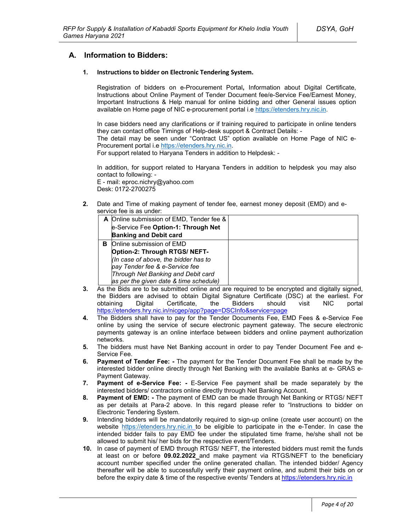## **A. Information to Bidders:**

#### **1. Instructions to bidder on Electronic Tendering System.**

Registration of bidders on e-Procurement Portal**,** Information about Digital Certificate, Instructions about Online Payment of Tender Document fee/e-Service Fee/Earnest Money, Important Instructions & Help manual for online bidding and other General issues option available on Home page of NIC e-procurement portal i.e https://etenders.hry.nic.in.

In case bidders need any clarifications or if training required to participate in online tenders they can contact office Timings of Help-desk support & Contract Details: -

The detail may be seen under "Contract US" option available on Home Page of NIC e-Procurement portal i.e https://etenders.hry.nic.in.

For support related to Haryana Tenders in addition to Helpdesk: -

In addition, for support related to Haryana Tenders in addition to helpdesk you may also contact to following: -

E - mail: eproc.nichry@yahoo.com Desk: 0172-2700275

**2.** Date and Time of making payment of tender fee, earnest money deposit (EMD) and eservice fee is as under:

|   | A Online submission of EMD, Tender fee & |  |
|---|------------------------------------------|--|
|   | e-Service Fee Option-1: Through Net      |  |
|   | <b>Banking and Debit card</b>            |  |
| в | Online submission of EMD                 |  |
|   | Option-2: Through RTGS/ NEFT-            |  |
|   | (In case of above, the bidder has to     |  |
|   | pay Tender fee & e-Service fee           |  |
|   | Through Net Banking and Debit card       |  |
|   | as per the given date & time schedule)   |  |

- **3.** As the Bids are to be submitted online and are required to be encrypted and digitally signed, the Bidders are advised to obtain Digital Signature Certificate (DSC) at the earliest. For obtaining Digital Certificate, the Bidders should visit NIC portal https://etenders.hry.nic.in/nicgep/app?page=DSCInfo&service=page
- **4.** The Bidders shall have to pay for the Tender Documents Fee, EMD Fees & e-Service Fee online by using the service of secure electronic payment gateway. The secure electronic payments gateway is an online interface between bidders and online payment authorization networks.
- **5.** The bidders must have Net Banking account in order to pay Tender Document Fee and e-Service Fee.
- **6. Payment of Tender Fee: -** The payment for the Tender Document Fee shall be made by the interested bidder online directly through Net Banking with the available Banks at e- GRAS e-Payment Gateway.
- **7. Payment of e-Service Fee: -** E-Service Fee payment shall be made separately by the interested bidders/ contractors online directly through Net Banking Account.
- **8. Payment of EMD: -** The payment of EMD can be made through Net Banking or RTGS/ NEFT as per details at Para-2 above. In this regard please refer to "Instructions to bidder on Electronic Tendering System.
- **9.** Intending bidders will be mandatorily required to sign-up online (create user account) on the website https://etenders.hry.nic.in to be eligible to participate in the e-Tender. In case the intended bidder fails to pay EMD fee under the stipulated time frame, he/she shall not be allowed to submit his/ her bids for the respective event/Tenders.
- **10.** In case of payment of EMD through RTGS/ NEFT, the interested bidders must remit the funds at least on or before **09.02.2022** and make payment via RTGS/NEFT to the beneficiary account number specified under the online generated challan. The intended bidder/ Agency thereafter will be able to successfully verify their payment online, and submit their bids on or before the expiry date & time of the respective events/ Tenders at https://etenders.hry.nic.in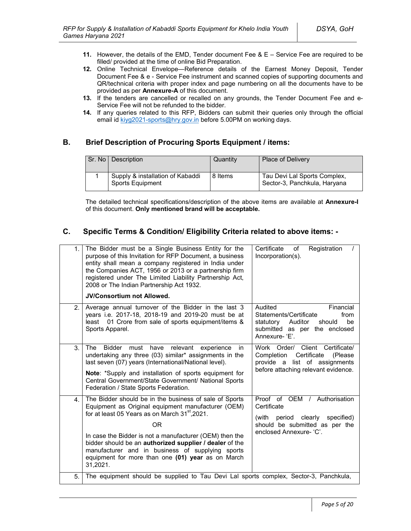- **11.** However, the details of the EMD, Tender document Fee & E Service Fee are required to be filled/ provided at the time of online Bid Preparation.
- **12.** Online Technical Envelope—Reference details of the Earnest Money Deposit, Tender Document Fee & e - Service Fee instrument and scanned copies of supporting documents and QR/technical criteria with proper index and page numbering on all the documents have to be provided as per **Annexure-A** of this document.
- **13.** If the tenders are cancelled or recalled on any grounds, the Tender Document Fee and e-Service Fee will not be refunded to the bidder.
- **14.** If any queries related to this RFP, Bidders can submit their queries only through the official email id kiyg2021-sports@hry.gov.in before 5.00PM on working days.

## **B. Brief Description of Procuring Sports Equipment / items:**

| Sr. No I | Description                                          | Quantity | <b>Place of Delivery</b>                                     |
|----------|------------------------------------------------------|----------|--------------------------------------------------------------|
|          | Supply & installation of Kabaddi<br>Sports Equipment | 8 Items  | Tau Devi Lal Sports Complex,<br>Sector-3, Panchkula, Haryana |

The detailed technical specifications/description of the above items are available at **Annexure-I** of this document. **Only mentioned brand will be acceptable.**

## **C. Specific Terms & Condition/ Eligibility Criteria related to above items: -**

| 1.             | The Bidder must be a Single Business Entity for the<br>purpose of this Invitation for RFP Document, a business<br>entity shall mean a company registered in India under<br>the Companies ACT, 1956 or 2013 or a partnership firm<br>registered under The Limited Liability Partnership Act,<br>2008 or The Indian Partnership Act 1932.<br><b>JV/Consortium not Allowed.</b>                                                | Certificate<br>Registration<br>of<br>Incorporation(s).                                                                                               |
|----------------|-----------------------------------------------------------------------------------------------------------------------------------------------------------------------------------------------------------------------------------------------------------------------------------------------------------------------------------------------------------------------------------------------------------------------------|------------------------------------------------------------------------------------------------------------------------------------------------------|
| 2 <sub>1</sub> | Average annual turnover of the Bidder in the last 3<br>years i.e. 2017-18, 2018-19 and 2019-20 must be at<br>01 Crore from sale of sports equipment/items &<br>least<br>Sports Apparel.                                                                                                                                                                                                                                     | Audited<br>Financial<br>Statements/Certificate<br>from<br>be<br>statutory<br>Auditor<br>should<br>submitted as per the enclosed<br>Annexure-'E'.     |
| 3.             | <b>The</b><br><b>Bidder</b><br>must<br>have<br>relevant<br>experience<br>in.<br>undertaking any three (03) similar* assignments in the<br>last seven (07) years (International/National level).<br>Note: *Supply and installation of sports equipment for<br>Central Government/State Government/ National Sports<br>Federation / State Sports Federation.                                                                  | Work Order/ Client Certificate/<br>Certificate<br>Completion<br>(Please)<br>provide a list of assignments<br>before attaching relevant evidence.     |
| 4.             | The Bidder should be in the business of sale of Sports<br>Equipment as Original equipment manufacturer (OEM)<br>for at least 05 Years as on March 31 <sup>st</sup> , 2021.<br>ΟR<br>In case the Bidder is not a manufacturer (OEM) then the<br>bidder should be an authorized supplier / dealer of the<br>manufacturer and in business of supplying sports<br>equipment for more than one (01) year as on March<br>31,2021. | Proof of OEM / Authorisation<br>Certificate<br>clearly<br>specified)<br>(with<br>period<br>should be submitted as per the<br>enclosed Annexure- 'C'. |
| 5.             | The equipment should be supplied to Tau Devi Lal sports complex, Sector-3, Panchkula,                                                                                                                                                                                                                                                                                                                                       |                                                                                                                                                      |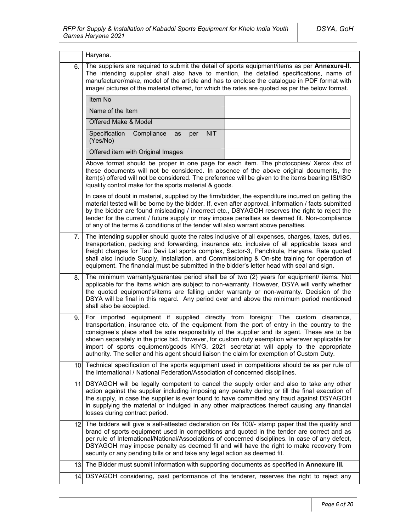|     | Haryana.                                                                                                                                                                                                                                                                                                                                                                                                                                                                                                                                                                  |  |
|-----|---------------------------------------------------------------------------------------------------------------------------------------------------------------------------------------------------------------------------------------------------------------------------------------------------------------------------------------------------------------------------------------------------------------------------------------------------------------------------------------------------------------------------------------------------------------------------|--|
| 6.  | The suppliers are required to submit the detail of sports equipment/items as per Annexure-II.<br>The intending supplier shall also have to mention, the detailed specifications, name of<br>manufacturer/make, model of the article and has to enclose the catalogue in PDF format with<br>image/ pictures of the material offered, for which the rates are quoted as per the below format.                                                                                                                                                                               |  |
|     | Item No                                                                                                                                                                                                                                                                                                                                                                                                                                                                                                                                                                   |  |
|     | Name of the Item                                                                                                                                                                                                                                                                                                                                                                                                                                                                                                                                                          |  |
|     | Offered Make & Model                                                                                                                                                                                                                                                                                                                                                                                                                                                                                                                                                      |  |
|     | Specification<br><b>NIT</b><br>Compliance<br>as<br>per<br>(Yes/No)                                                                                                                                                                                                                                                                                                                                                                                                                                                                                                        |  |
|     | Offered item with Original Images                                                                                                                                                                                                                                                                                                                                                                                                                                                                                                                                         |  |
|     | Above format should be proper in one page for each item. The photocopies/ Xerox /fax of<br>these documents will not be considered. In absence of the above original documents, the<br>item(s) offered will not be considered. The preference will be given to the items bearing ISI/ISO<br>/quality control make for the sports material & goods.                                                                                                                                                                                                                         |  |
|     | In case of doubt in material, supplied by the firm/bidder, the expenditure incurred on getting the<br>material tested will be borne by the bidder. If, even after approval, information / facts submitted<br>by the bidder are found misleading / incorrect etc., DSYAGOH reserves the right to reject the<br>tender for the current / future supply or may impose penalties as deemed fit. Non-compliance<br>of any of the terms & conditions of the tender will also warrant above penalties.                                                                           |  |
| 7.  | The intending supplier should quote the rates inclusive of all expenses, charges, taxes, duties,<br>transportation, packing and forwarding, insurance etc. inclusive of all applicable taxes and<br>freight charges for Tau Devi Lal sports complex, Sector-3, Panchkula, Haryana. Rate quoted<br>shall also include Supply, Installation, and Commissioning & On-site training for operation of<br>equipment. The financial must be submitted in the bidder's letter head with seal and sign.                                                                            |  |
| 8.  | The minimum warranty/guarantee period shall be of two (2) years for equipment/ items. Not<br>applicable for the Items which are subject to non-warranty. However, DSYA will verify whether<br>the quoted equipment's/items are falling under warranty or non-warranty. Decision of the<br>DSYA will be final in this regard. Any period over and above the minimum period mentioned<br>shall also be accepted.                                                                                                                                                            |  |
| 9.  | For imported equipment if supplied directly from foreign): The custom clearance,<br>transportation, insurance etc. of the equipment from the port of entry in the country to the<br>consignee's place shall be sole responsibility of the supplier and its agent. These are to be<br>shown separately in the price bid. However, for custom duty exemption wherever applicable for<br>import of sports equipment/goods KIYG, 2021 secretariat will apply to the appropriate<br>authority. The seller and his agent should liaison the claim for exemption of Custom Duty. |  |
| 10. | Technical specification of the sports equipment used in competitions should be as per rule of<br>the International / National Federation/Association of concerned disciplines.                                                                                                                                                                                                                                                                                                                                                                                            |  |
| 111 | DSYAGOH will be legally competent to cancel the supply order and also to take any other<br>action against the supplier including imposing any penalty during or till the final execution of<br>the supply, in case the supplier is ever found to have committed any fraud against DSYAGOH<br>in supplying the material or indulged in any other malpractices thereof causing any financial<br>losses during contract period.                                                                                                                                              |  |
|     | 12. The bidders will give a self-attested declaration on Rs 100/- stamp paper that the quality and<br>brand of sports equipment used in competitions and quoted in the tender are correct and as<br>per rule of International/National/Associations of concerned disciplines. In case of any defect,<br>DSYAGOH may impose penalty as deemed fit and will have the right to make recovery from<br>security or any pending bills or and take any legal action as deemed fit.                                                                                               |  |
| 13. | The Bidder must submit information with supporting documents as specified in Annexure III.                                                                                                                                                                                                                                                                                                                                                                                                                                                                                |  |
|     | 14. DSYAGOH considering, past performance of the tenderer, reserves the right to reject any                                                                                                                                                                                                                                                                                                                                                                                                                                                                               |  |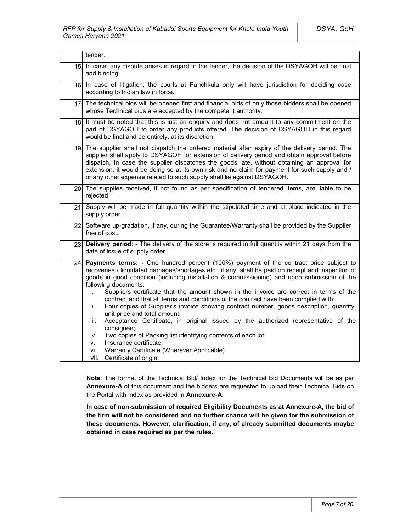|     | tender.                                                                                                                                                                                                                                                                                                                                                                                                                                                                                                                                                                                                                                                                                                                                                                                                                                                                                                                                               |  |
|-----|-------------------------------------------------------------------------------------------------------------------------------------------------------------------------------------------------------------------------------------------------------------------------------------------------------------------------------------------------------------------------------------------------------------------------------------------------------------------------------------------------------------------------------------------------------------------------------------------------------------------------------------------------------------------------------------------------------------------------------------------------------------------------------------------------------------------------------------------------------------------------------------------------------------------------------------------------------|--|
| 15. | In case, any dispute arises in regard to the tender, the decision of the DSYAGOH will be final<br>and binding.                                                                                                                                                                                                                                                                                                                                                                                                                                                                                                                                                                                                                                                                                                                                                                                                                                        |  |
| 16. | In case of litigation, the courts at Panchkula only will have jurisdiction for deciding case<br>according to Indian law in force.                                                                                                                                                                                                                                                                                                                                                                                                                                                                                                                                                                                                                                                                                                                                                                                                                     |  |
| 17. | The technical bids will be opened first and financial bids of only those bidders shall be opened<br>whose Technical bids are accepted by the competent authority.                                                                                                                                                                                                                                                                                                                                                                                                                                                                                                                                                                                                                                                                                                                                                                                     |  |
| 18. | It must be noted that this is just an enquiry and does not amount to any commitment on the<br>part of DSYAGOH to order any products offered. The decision of DSYAGOH in this regard<br>would be final and be entirely, at its discretion.                                                                                                                                                                                                                                                                                                                                                                                                                                                                                                                                                                                                                                                                                                             |  |
| 19. | The supplier shall not dispatch the ordered material after expiry of the delivery period. The<br>supplier shall apply to DSYAGOH for extension of delivery period and obtain approval before<br>dispatch. In case the supplier dispatches the goods late, without obtaining an approval for<br>extension, it would be doing so at its own risk and no claim for payment for such supply and /<br>or any other expense related to such supply shall lie against DSYAGOH.                                                                                                                                                                                                                                                                                                                                                                                                                                                                               |  |
|     | 20. The supplies received, if not found as per specification of tendered items, are liable to be<br>rejected                                                                                                                                                                                                                                                                                                                                                                                                                                                                                                                                                                                                                                                                                                                                                                                                                                          |  |
| 21  | Supply will be made in full quantity within the stipulated time and at place indicated in the<br>supply order.                                                                                                                                                                                                                                                                                                                                                                                                                                                                                                                                                                                                                                                                                                                                                                                                                                        |  |
|     | 22 Software up-gradation, if any, during the Guarantee/Warranty shall be provided by the Supplier<br>free of cost.                                                                                                                                                                                                                                                                                                                                                                                                                                                                                                                                                                                                                                                                                                                                                                                                                                    |  |
| 23. | Delivery period: - The delivery of the store is required in full quantity within 21 days from the<br>date of issue of supply order.                                                                                                                                                                                                                                                                                                                                                                                                                                                                                                                                                                                                                                                                                                                                                                                                                   |  |
| 24  | Payments terms: - One hundred percent (100%) payment of the contract price subject to<br>recoveries / liquidated damages/shortages etc., if any, shall be paid on receipt and inspection of<br>goods in good condition (including installation & commissioning) and upon submission of the<br>following documents:<br>Suppliers certificate that the amount shown in the invoice are correct in terms of the<br>İ.<br>contract and that all terms and conditions of the contract have been complied with;<br>Four copies of Supplier's invoice showing contract number, goods description, quantity,<br>ii.<br>unit price and total amount;<br>Acceptance Certificate, in original issued by the authorized representative of the<br>iii.<br>consignee;<br>Two copies of Packing list identifying contents of each lot;<br>iv.<br>Insurance certificate;<br>٧.<br>Warranty Certificate (Wherever Applicable)<br>vi.<br>vii.<br>Certificate of origin. |  |

**Note**: The format of the Technical Bid/ Index for the Technical Bid Documents will be as per **Annexure-A** of this document and the bidders are requested to upload their Technical Bids on the Portal with index as provided in **Annexure-A.**

**In case of non-submission of required Eligibility Documents as at Annexure-A, the bid of the firm will not be considered and no further chance will be given for the submission of these documents. However, clarification, if any, of already submitted documents maybe obtained in case required as per the rules.**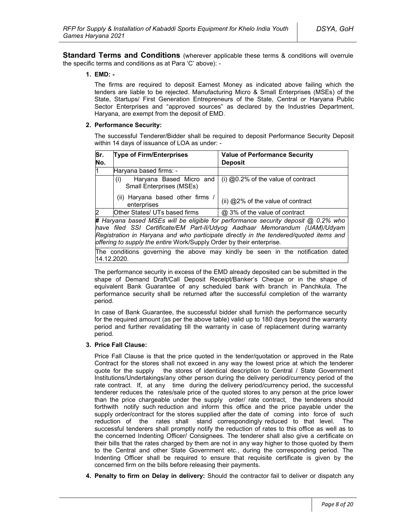**Standard Terms and Conditions** (wherever applicable these terms & conditions will overrule the specific terms and conditions as at Para 'C' above): -

#### **1. EMD: -**

The firms are required to deposit Earnest Money as indicated above failing which the tenders are liable to be rejected. Manufacturing Micro & Small Enterprises (MSEs) of the State, Startups/ First Generation Entrepreneurs of the State, Central or Haryana Public Sector Enterprises and "approved sources" as declared by the Industries Department, Haryana, are exempt from the deposit of EMD.

#### **2. Performance Security:**

The successful Tenderer/Bidder shall be required to deposit Performance Security Deposit within 14 days of issuance of LOA as under: -

| Sr.<br>No.     | <b>Type of Firm/Enterprises</b>                                                     | <b>Value of Performance Security</b><br><b>Deposit</b> |
|----------------|-------------------------------------------------------------------------------------|--------------------------------------------------------|
| l1             | Haryana based firms: -                                                              |                                                        |
|                | Haryana Based Micro and<br>(i)<br><b>Small Enterprises (MSEs)</b>                   | (i) $@0.2\%$ of the value of contract                  |
|                | (ii) Haryana based other firms<br>enterprises                                       | (ii) @2% of the value of contract                      |
| $\overline{2}$ | Other States/ UTs based firms                                                       | @ 3% of the value of contract                          |
|                | # Harvana based MSEs will be eligible for performance security deposit @ 0.2% who l |                                                        |

**#** *Haryana based MSEs will be eligible for performance security deposit @ 0.2% who have filed SSI Certificate/EM Part-II/Udyog Aadhaar Memorandum (UAM)/Udyam Registration in Haryana and who participate directly in the tendered/quoted items and offering to supply the entire* Work/Supply Order by their enterprise*.*

The conditions governing the above may kindly be seen in the notification dated 14.12.2020.

The performance security in excess of the EMD already deposited can be submitted in the shape of Demand Draft/Call Deposit Receipt/Banker's Cheque or in the shape of equivalent Bank Guarantee of any scheduled bank with branch in Panchkula. The performance security shall be returned after the successful completion of the warranty period.

In case of Bank Guarantee, the successful bidder shall furnish the performance security for the required amount (as per the above table) valid up to 180 days beyond the warranty period and further revalidating till the warranty in case of replacement during warranty period.

### **3. Price Fall Clause:**

Price Fall Clause is that the price quoted in the tender/quotation or approved in the Rate Contract for the stores shall not exceed in any way the lowest price at which the tenderer quote for the supply the stores of identical description to Central / State Government Institutions/Undertakings/any other person during the delivery period/currency period of the rate contract. If, at any time during the delivery period/currency period, the successful tenderer reduces the rates/sale price of the quoted stores to any person at the price lower than the price chargeable under the supply order/ rate contract, the tenderers should forthwith notify such reduction and inform this office and the price payable under the supply order/contract for the stores supplied after the date of coming into force of such reduction of the rates shall stand correspondingly reduced to that level. The successful tenderers shall promptly notify the reduction of rates to this office as well as to the concerned Indenting Officer/ Consignees. The tenderer shall also give a certificate on their bills that the rates charged by them are not in any way higher to those quoted by them to the Central and other State Government etc., during the corresponding period. The Indenting Officer shall be required to ensure that requisite certificate is given by the concerned firm on the bills before releasing their payments.

**4. Penalty to firm on Delay in delivery:** Should the contractor fail to deliver or dispatch any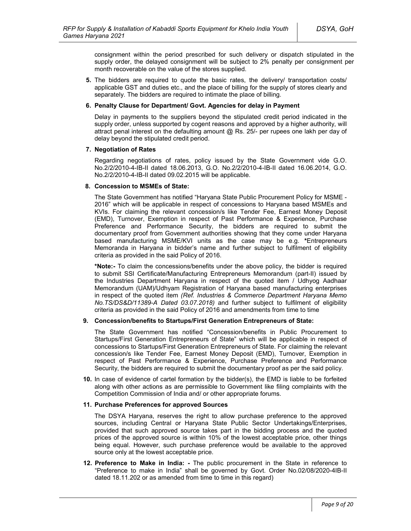consignment within the period prescribed for such delivery or dispatch stipulated in the supply order, the delayed consignment will be subject to 2% penalty per consignment per month recoverable on the value of the stores supplied.

**5.** The bidders are required to quote the basic rates, the delivery/ transportation costs/ applicable GST and duties etc., and the place of billing for the supply of stores clearly and separately. The bidders are required to intimate the place of billing.

#### **6. Penalty Clause for Department/ Govt. Agencies for delay in Payment**

Delay in payments to the suppliers beyond the stipulated credit period indicated in the supply order, unless supported by cogent reasons and approved by a higher authority, will attract penal interest on the defaulting amount  $@$  Rs. 25/- per rupees one lakh per day of delay beyond the stipulated credit period.

#### **7. Negotiation of Rates**

Regarding negotiations of rates, policy issued by the State Government vide G.O. No.2/2/2010-4-IB-II dated 18.06.2013, G.O. No.2/2/2010-4-IB-II dated 16.06.2014, G.O. No.2/2/2010-4-IB-II dated 09.02.2015 will be applicable.

#### **8. Concession to MSMEs of State:**

The State Government has notified "Haryana State Public Procurement Policy for MSME - 2016" which will be applicable in respect of concessions to Haryana based MSMEs and KVIs. For claiming the relevant concession/s like Tender Fee, Earnest Money Deposit (EMD), Turnover, Exemption in respect of Past Performance & Experience, Purchase Preference and Performance Security, the bidders are required to submit the documentary proof from Government authorities showing that they come under Haryana based manufacturing MSME/KVI units as the case may be e.g. **\***Entrepreneurs Memoranda in Haryana in bidder's name and further subject to fulfilment of eligibility criteria as provided in the said Policy of 2016.

**\*Note:-** To claim the concessions/benefits under the above policy, the bidder is required to submit SSI Certificate/Manufacturing Entrepreneurs Memorandum (part-II) issued by the Industries Department Haryana in respect of the quoted item / Udhyog Aadhaar Memorandum (UAM)/Udhyam Registration of Haryana based manufacturing enterprises in respect of the quoted item *(Ref. Industries & Commerce Department Haryana Memo No.TS/DS&D/11389-A Dated 03.07.2018)* and further subject to fulfilment of eligibility criteria as provided in the said Policy of 2016 and amendments from time to time

#### **9. Concession/benefits to Startups/First Generation Entrepreneurs of State:**

The State Government has notified "Concession/benefits in Public Procurement to Startups/First Generation Entrepreneurs of State" which will be applicable in respect of concessions to Startups/First Generation Entrepreneurs of State. For claiming the relevant concession/s like Tender Fee, Earnest Money Deposit (EMD), Turnover, Exemption in respect of Past Performance & Experience, Purchase Preference and Performance Security, the bidders are required to submit the documentary proof as per the said policy.

**10.** In case of evidence of cartel formation by the bidder(s), the EMD is liable to be forfeited along with other actions as are permissible to Government like filing complaints with the Competition Commission of India and/ or other appropriate forums.

#### **11. Purchase Preferences for approved Sources**

The DSYA Haryana, reserves the right to allow purchase preference to the approved sources, including Central or Haryana State Public Sector Undertakings/Enterprises, provided that such approved source takes part in the bidding process and the quoted prices of the approved source is within 10% of the lowest acceptable price, other things being equal. However, such purchase preference would be available to the approved source only at the lowest acceptable price.

**12. Preference to Make in India: -** The public procurement in the State in reference to "Preference to make in India" shall be governed by Govt. Order No.02/08/2020-4IB-II dated 18.11.202 or as amended from time to time in this regard)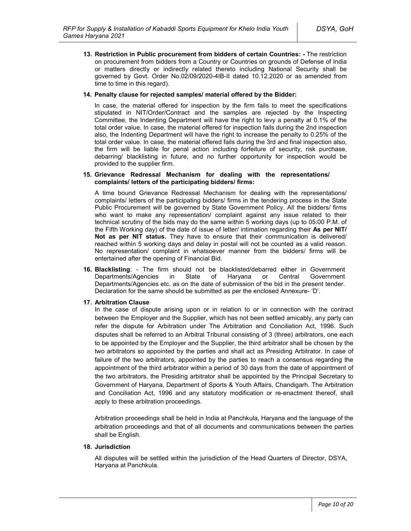**13. Restriction in Public procurement from bidders of certain Countries: -** The restriction on procurement from bidders from a Country or Countries on grounds of Defense of India or matters directly or indirectly related thereto including National Security shall be governed by Govt. Order No.02/09/2020-4IB-II dated 10.12.2020 or as amended from time to time in this regard).

#### **14. Penalty clause for rejected samples/ material offered by the Bidder:**

In case, the material offered for inspection by the firm fails to meet the specifications stipulated in NIT/Order/Contract and the samples are rejected by the Inspecting Committee, the Indenting Department will have the right to levy a penalty at 0.1% of the total order value. In case, the material offered for inspection fails during the 2nd inspection also, the Indenting Department will have the right to increase the penalty to 0.25% of the total order value. In case, the material offered fails during the 3rd and final inspection also, the firm will be liable for penal action including forfeiture of security, risk purchase, debarring/ blacklisting in future, and no further opportunity for inspection would be provided to the supplier firm.

#### **15. Grievance Redressal Mechanism for dealing with the representations/ complaints/ letters of the participating bidders/ firms:**

A time bound Grievance Redressal Mechanism for dealing with the representations/ complaints/ letters of the participating bidders/ firms in the tendering process in the State Public Procurement will be governed by State Government Policy. All the bidders/ firms who want to make any representation/ complaint against any issue related to their technical scrutiny of the bids may do the same within 5 working days (up to 05:00 P.M. of the Fifth Working day) of the date of issue of letter/ intimation regarding their **As per NIT/ Not as per NIT status.** They have to ensure that their communication is delivered/ reached within 5 working days and delay in postal will not be counted as a valid reason. No representation/ complaint in whatsoever manner from the bidders/ firms will be entertained after the opening of Financial Bid.

**16. Blacklisting**: - The firm should not be blacklisted/debarred either in Government Departments/Agencies in State of Haryana or Central Government Departments/Agencies etc. as on the date of submission of the bid in the present tender. Declaration for the same should be submitted as per the enclosed Annexure- 'D'.

### **17. Arbitration Clause**

In the case of dispute arising upon or in relation to or in connection with the contract between the Employer and the Supplier, which has not been settled amicably, any party can refer the dispute for Arbitration under The Arbitration and Conciliation Act, 1996. Such disputes shall be referred to an Arbitral Tribunal consisting of 3 (three) arbitrators, one each to be appointed by the Employer and the Supplier, the third arbitrator shall be chosen by the two arbitrators so appointed by the parties and shall act as Presiding Arbitrator. In case of failure of the two arbitrators, appointed by the parties to reach a consensus regarding the appointment of the third arbitrator within a period of 30 days from the date of appointment of the two arbitrators, the Presiding arbitrator shall be appointed by the Principal Secretary to Government of Haryana, Department of Sports & Youth Affairs, Chandigarh. The Arbitration and Conciliation Act, 1996 and any statutory modification or re-enactment thereof, shall apply to these arbitration proceedings.

Arbitration proceedings shall be held in India at Panchkula, Haryana and the language of the arbitration proceedings and that of all documents and communications between the parties shall be English.

#### **18. Jurisdiction**

All disputes will be settled within the jurisdiction of the Head Quarters of Director, DSYA, Haryana at Panchkula.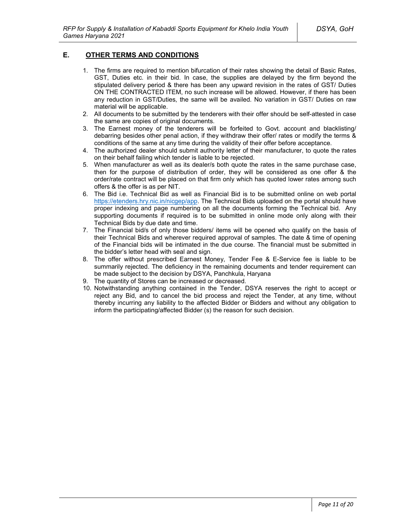## **E. OTHER TERMS AND CONDITIONS**

- 1. The firms are required to mention bifurcation of their rates showing the detail of Basic Rates, GST, Duties etc. in their bid. In case, the supplies are delayed by the firm beyond the stipulated delivery period & there has been any upward revision in the rates of GST/ Duties ON THE CONTRACTED ITEM, no such increase will be allowed. However, if there has been any reduction in GST/Duties, the same will be availed. No variation in GST/ Duties on raw material will be applicable.
- 2. All documents to be submitted by the tenderers with their offer should be self-attested in case the same are copies of original documents.
- 3. The Earnest money of the tenderers will be forfeited to Govt. account and blacklisting/ debarring besides other penal action, if they withdraw their offer/ rates or modify the terms & conditions of the same at any time during the validity of their offer before acceptance.
- 4. The authorized dealer should submit authority letter of their manufacturer, to quote the rates on their behalf failing which tender is liable to be rejected.
- 5. When manufacturer as well as its dealer/s both quote the rates in the same purchase case, then for the purpose of distribution of order, they will be considered as one offer & the order/rate contract will be placed on that firm only which has quoted lower rates among such offers & the offer is as per NIT.
- 6. The Bid i.e. Technical Bid as well as Financial Bid is to be submitted online on web portal https://etenders.hry.nic.in/nicgep/app. The Technical Bids uploaded on the portal should have proper indexing and page numbering on all the documents forming the Technical bid. Any supporting documents if required is to be submitted in online mode only along with their Technical Bids by due date and time.
- 7. The Financial bid/s of only those bidders/ items will be opened who qualify on the basis of their Technical Bids and wherever required approval of samples. The date & time of opening of the Financial bids will be intimated in the due course. The financial must be submitted in the bidder's letter head with seal and sign.
- 8. The offer without prescribed Earnest Money, Tender Fee & E-Service fee is liable to be summarily rejected. The deficiency in the remaining documents and tender requirement can be made subject to the decision by DSYA, Panchkula, Haryana
- 9. The quantity of Stores can be increased or decreased.
- 10. Notwithstanding anything contained in the Tender, DSYA reserves the right to accept or reject any Bid, and to cancel the bid process and reject the Tender, at any time, without thereby incurring any liability to the affected Bidder or Bidders and without any obligation to inform the participating/affected Bidder (s) the reason for such decision.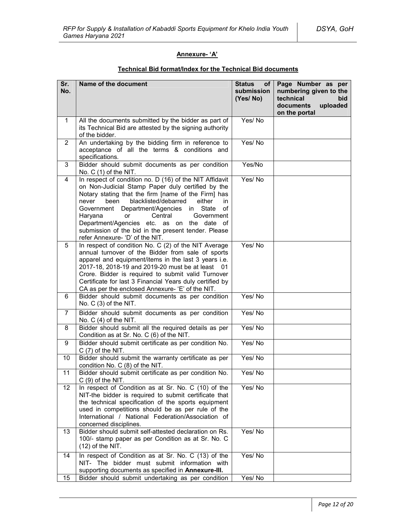## **Annexure- 'A'**

| Sr.<br>No.     | Name of the document                                                                                                                                                                                                                                                                                                                                                                                                                                                   | <b>Status</b><br>of l<br>submission<br>(Yes/No) | Page Number as per<br>numbering given to the<br>technical<br>bid<br>documents<br>uploaded<br>on the portal |
|----------------|------------------------------------------------------------------------------------------------------------------------------------------------------------------------------------------------------------------------------------------------------------------------------------------------------------------------------------------------------------------------------------------------------------------------------------------------------------------------|-------------------------------------------------|------------------------------------------------------------------------------------------------------------|
| $\mathbf{1}$   | All the documents submitted by the bidder as part of<br>its Technical Bid are attested by the signing authority<br>of the bidder.                                                                                                                                                                                                                                                                                                                                      | Yes/No                                          |                                                                                                            |
| $\overline{2}$ | An undertaking by the bidding firm in reference to<br>acceptance of all the terms & conditions and<br>specifications.                                                                                                                                                                                                                                                                                                                                                  | Yes/No                                          |                                                                                                            |
| 3              | Bidder should submit documents as per condition<br>No. $C(1)$ of the NIT.                                                                                                                                                                                                                                                                                                                                                                                              | Yes/No                                          |                                                                                                            |
| 4              | In respect of condition no. D (16) of the NIT Affidavit<br>on Non-Judicial Stamp Paper duly certified by the<br>Notary stating that the firm [name of the Firm] has<br>blacklisted/debarred<br>either<br>never<br>been<br>in<br>Government Department/Agencies in State<br>of<br>Haryana<br><b>or</b><br>Central<br>Government<br>Department/Agencies etc. as on the date of<br>submission of the bid in the present tender. Please<br>refer Annexure- 'D' of the NIT. | Yes/No                                          |                                                                                                            |
| 5              | In respect of condition No. C (2) of the NIT Average<br>annual turnover of the Bidder from sale of sports<br>apparel and equipment/items in the last 3 years i.e.<br>2017-18, 2018-19 and 2019-20 must be at least 01<br>Crore. Bidder is required to submit valid Turnover<br>Certificate for last 3 Financial Years duly certified by<br>CA as per the enclosed Annexure- 'E' of the NIT.                                                                            | Yes/No                                          |                                                                                                            |
| 6              | Bidder should submit documents as per condition<br>No. C (3) of the NIT.                                                                                                                                                                                                                                                                                                                                                                                               | Yes/No                                          |                                                                                                            |
| $\overline{7}$ | Bidder should submit documents as per condition<br>No. $C(4)$ of the NIT.                                                                                                                                                                                                                                                                                                                                                                                              | Yes/No                                          |                                                                                                            |
| 8              | Bidder should submit all the required details as per<br>Condition as at Sr. No. C (6) of the NIT.                                                                                                                                                                                                                                                                                                                                                                      | Yes/No                                          |                                                                                                            |
| 9              | Bidder should submit certificate as per condition No.<br>$C(7)$ of the NIT.                                                                                                                                                                                                                                                                                                                                                                                            | Yes/No                                          |                                                                                                            |
| 10             | Bidder should submit the warranty certificate as per<br>condition No. C (8) of the NIT.                                                                                                                                                                                                                                                                                                                                                                                | Yes/No                                          |                                                                                                            |
| 11             | Bidder should submit certificate as per condition No.<br>$C(9)$ of the NIT.                                                                                                                                                                                                                                                                                                                                                                                            | Yes/No                                          |                                                                                                            |
| 12             | In respect of Condition as at Sr. No. C (10) of the<br>NIT-the bidder is required to submit certificate that<br>the technical specification of the sports equipment<br>used in competitions should be as per rule of the<br>International / National Federation/Association of<br>concerned disciplines.                                                                                                                                                               | Yes/No                                          |                                                                                                            |
| 13             | Bidder should submit self-attested declaration on Rs.<br>100/- stamp paper as per Condition as at Sr. No. C<br>$(12)$ of the NIT.                                                                                                                                                                                                                                                                                                                                      | Yes/No                                          |                                                                                                            |
| 14             | In respect of Condition as at Sr. No. C (13) of the<br>NIT- The bidder must submit information with<br>supporting documents as specified in Annexure-III.                                                                                                                                                                                                                                                                                                              | Yes/No                                          |                                                                                                            |
| 15             | Bidder should submit undertaking as per condition                                                                                                                                                                                                                                                                                                                                                                                                                      | Yes/No                                          |                                                                                                            |

## **Technical Bid format/Index for the Technical Bid documents**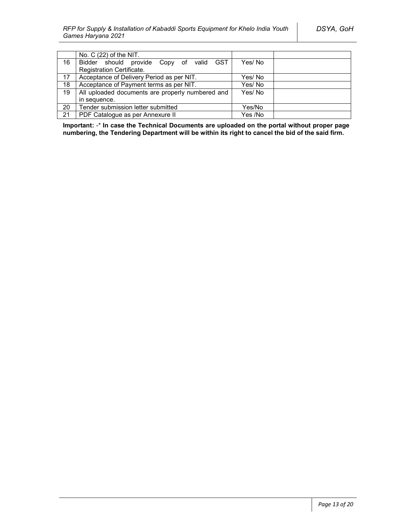|    | No. $C(22)$ of the NIT.                          |         |
|----|--------------------------------------------------|---------|
| 16 | Bidder should provide Copy of valid GST          | Yes/No  |
|    | Registration Certificate.                        |         |
| 17 | Acceptance of Delivery Period as per NIT.        | Yes/No  |
| 18 | Acceptance of Payment terms as per NIT.          | Yes/No  |
| 19 | All uploaded documents are properly numbered and | Yes/No  |
|    | in sequence.                                     |         |
| 20 | Tender submission letter submitted               | Yes/No  |
| 21 | PDF Catalogue as per Annexure II                 | Yes /No |

**Important:** -\* **In case the Technical Documents are uploaded on the portal without proper page numbering, the Tendering Department will be within its right to cancel the bid of the said firm.**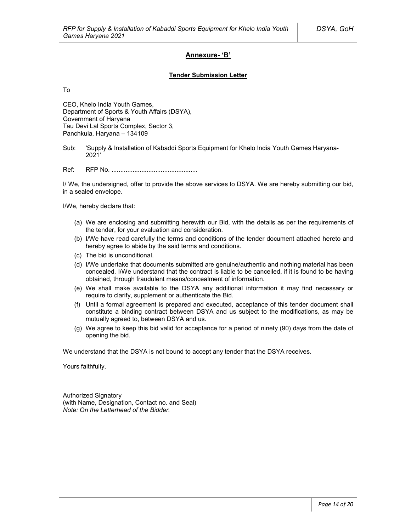### **Annexure- 'B'**

#### **Tender Submission Letter**

To

CEO, Khelo India Youth Games, Department of Sports & Youth Affairs (DSYA), Government of Haryana Tau Devi Lal Sports Complex, Sector 3, Panchkula, Haryana – 134109

Sub: 'Supply & Installation of Kabaddi Sports Equipment for Khelo India Youth Games Haryana-2021'

Ref: RFP No. .................................................

I/ We, the undersigned, offer to provide the above services to DSYA. We are hereby submitting our bid, in a sealed envelope.

I/We, hereby declare that:

- (a) We are enclosing and submitting herewith our Bid, with the details as per the requirements of the tender, for your evaluation and consideration.
- (b) I/We have read carefully the terms and conditions of the tender document attached hereto and hereby agree to abide by the said terms and conditions.
- (c) The bid is unconditional.
- (d) I/We undertake that documents submitted are genuine/authentic and nothing material has been concealed. I/We understand that the contract is liable to be cancelled, if it is found to be having obtained, through fraudulent means/concealment of information.
- (e) We shall make available to the DSYA any additional information it may find necessary or require to clarify, supplement or authenticate the Bid.
- (f) Until a formal agreement is prepared and executed, acceptance of this tender document shall constitute a binding contract between DSYA and us subject to the modifications, as may be mutually agreed to, between DSYA and us.
- (g) We agree to keep this bid valid for acceptance for a period of ninety (90) days from the date of opening the bid.

We understand that the DSYA is not bound to accept any tender that the DSYA receives.

Yours faithfully,

Authorized Signatory (with Name, Designation, Contact no. and Seal) *Note: On the Letterhead of the Bidder.*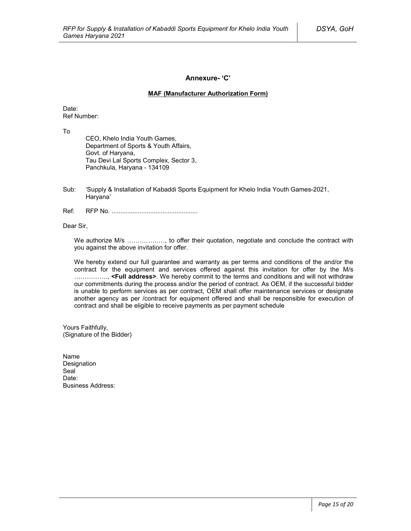### **Annexure- 'C'**

#### **MAF (Manufacturer Authorization Form)**

Date: Ref Number:

To

CEO, Khelo India Youth Games, Department of Sports & Youth Affairs, Govt. of Haryana, Tau Devi Lal Sports Complex, Sector 3, Panchkula, Haryana - 134109

- Sub: 'Supply & Installation of Kabaddi Sports Equipment for Khelo India Youth Games-2021, Haryana'
- Ref: RFP No. .................................................

Dear Sir,

We authorize M/s ………………, to offer their quotation, negotiate and conclude the contract with you against the above invitation for offer.

We hereby extend our full guarantee and warranty as per terms and conditions of the and/or the contract for the equipment and services offered against this invitation for offer by the M/s ……………., **<Full address>**. We hereby commit to the terms and conditions and will not withdraw our commitments during the process and/or the period of contract. As OEM, if the successful bidder is unable to perform services as per contract, OEM shall offer maintenance services or designate another agency as per /contract for equipment offered and shall be responsible for execution of contract and shall be eligible to receive payments as per payment schedule

Yours Faithfully, (Signature of the Bidder)

Name Designation Seal<sup>1</sup> Date<sup>.</sup> Business Address: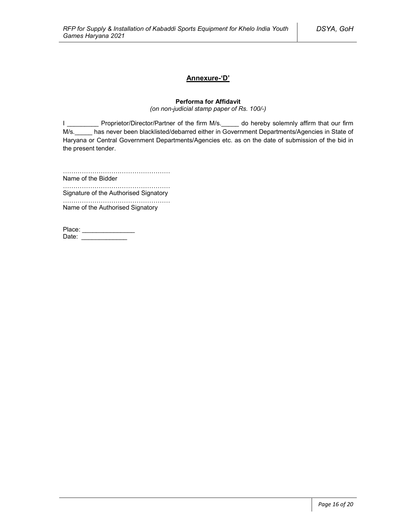## **Annexure-'D'**

### **Performa for Affidavit**

*(on non-judicial stamp paper of Rs. 100/-)*

I \_\_\_\_\_\_\_\_\_\_\_ Proprietor/Director/Partner of the firm M/s.\_\_\_\_\_ do hereby solemnly affirm that our firm M/s. has never been blacklisted/debarred either in Government Departments/Agencies in State of Haryana or Central Government Departments/Agencies etc. as on the date of submission of the bid in the present tender.

……………………………………………

Name of the Bidder ……………………………………………

Signature of the Authorised Signatory

…………………………………………… Name of the Authorised Signatory

| Place: |  |
|--------|--|
| Date:  |  |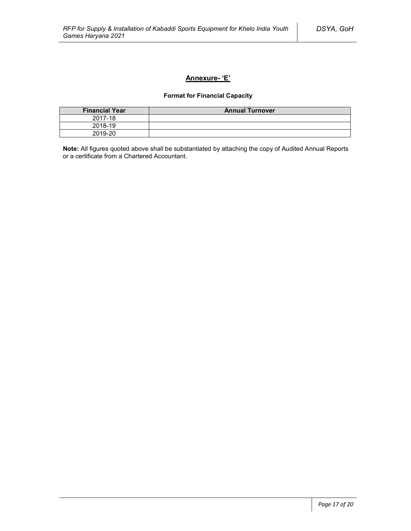## **Annexure- 'E'**

## **Format for Financial Capacity**

| <b>Financial Year</b> | <b>Annual Turnover</b> |
|-----------------------|------------------------|
| 2017-18               |                        |
| 2018-19               |                        |
| 2019-20               |                        |

**Note:** All figures quoted above shall be substantiated by attaching the copy of Audited Annual Reports or a certificate from a Chartered Accountant.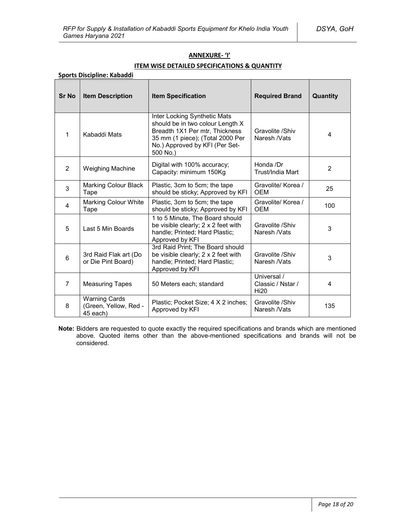### **ANNEXURE- 'I'**

## **ITEM WISE DETAILED SPECIFICATIONS & QUANTITY**

| <b>Sr No</b>            | <b>Item Description</b>                                   | <b>Item Specification</b>                                                                                                                                                            | <b>Required Brand</b>                           | Quantity       |
|-------------------------|-----------------------------------------------------------|--------------------------------------------------------------------------------------------------------------------------------------------------------------------------------------|-------------------------------------------------|----------------|
| 1                       | Kabaddi Mats                                              | Inter Locking Synthetic Mats<br>should be in two colour Length X<br>Breadth 1X1 Per mtr, Thickness<br>35 mm (1 piece); (Total 2000 Per<br>No.) Approved by KFI (Per Set-<br>500 No.) | Gravolite /Shiv<br>Naresh /Vats                 | 4              |
| $\overline{2}$          | <b>Weighing Machine</b>                                   | Digital with 100% accuracy;<br>Capacity: minimum 150Kg                                                                                                                               | Honda /Dr<br>Trust/India Mart                   | 2              |
| 3                       | <b>Marking Colour Black</b><br>Tape                       | Plastic, 3cm to 5cm; the tape<br>should be sticky; Approved by KFI                                                                                                                   | Gravolite/ Korea /<br><b>OEM</b>                | 25             |
| $\overline{\mathbf{4}}$ | <b>Marking Colour White</b><br>Tape                       | Plastic, 3cm to 5cm; the tape<br>should be sticky; Approved by KFI                                                                                                                   | Gravolite/ Korea /<br><b>OEM</b>                | 100            |
| 5                       | Last 5 Min Boards                                         | 1 to 5 Minute, The Board should<br>be visible clearly; 2 x 2 feet with<br>handle; Printed; Hard Plastic;<br>Approved by KFI                                                          | Gravolite /Shiv<br>Naresh /Vats                 | 3              |
| 6                       | 3rd Raid Flak art (Do<br>or Die Pint Board)               | 3rd Raid Print; The Board should<br>be visible clearly; 2 x 2 feet with<br>handle; Printed; Hard Plastic;<br>Approved by KFI                                                         | Gravolite /Shiv<br>Naresh /Vats                 | 3              |
| $\overline{7}$          | <b>Measuring Tapes</b>                                    | 50 Meters each; standard                                                                                                                                                             | Universal /<br>Classic / Nstar /<br><b>Hi20</b> | $\overline{4}$ |
| 8                       | <b>Warning Cards</b><br>(Green, Yellow, Red -<br>45 each) | Plastic; Pocket Size; 4 X 2 inches;<br>Approved by KFI                                                                                                                               | Gravolite /Shiv<br>Naresh /Vats                 | 135            |

**Note:** Bidders are requested to quote exactly the required specifications and brands which are mentioned above. Quoted items other than the above-mentioned specifications and brands will not be considered.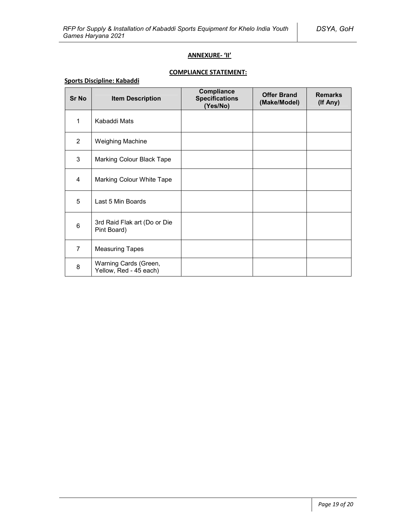### **ANNEXURE- 'II'**

# **COMPLIANCE STATEMENT:**

## **Sports Discipline: Kabaddi**

| <b>Sr No</b>   | <b>Item Description</b>                         | Compliance<br><b>Specifications</b><br>(Yes/No) | <b>Offer Brand</b><br>(Make/Model) | <b>Remarks</b><br>(If Any) |
|----------------|-------------------------------------------------|-------------------------------------------------|------------------------------------|----------------------------|
| 1              | Kabaddi Mats                                    |                                                 |                                    |                            |
| $\overline{2}$ | Weighing Machine                                |                                                 |                                    |                            |
| 3              | Marking Colour Black Tape                       |                                                 |                                    |                            |
| 4              | Marking Colour White Tape                       |                                                 |                                    |                            |
| 5              | Last 5 Min Boards                               |                                                 |                                    |                            |
| 6              | 3rd Raid Flak art (Do or Die<br>Pint Board)     |                                                 |                                    |                            |
| $\overline{7}$ | <b>Measuring Tapes</b>                          |                                                 |                                    |                            |
| 8              | Warning Cards (Green,<br>Yellow, Red - 45 each) |                                                 |                                    |                            |